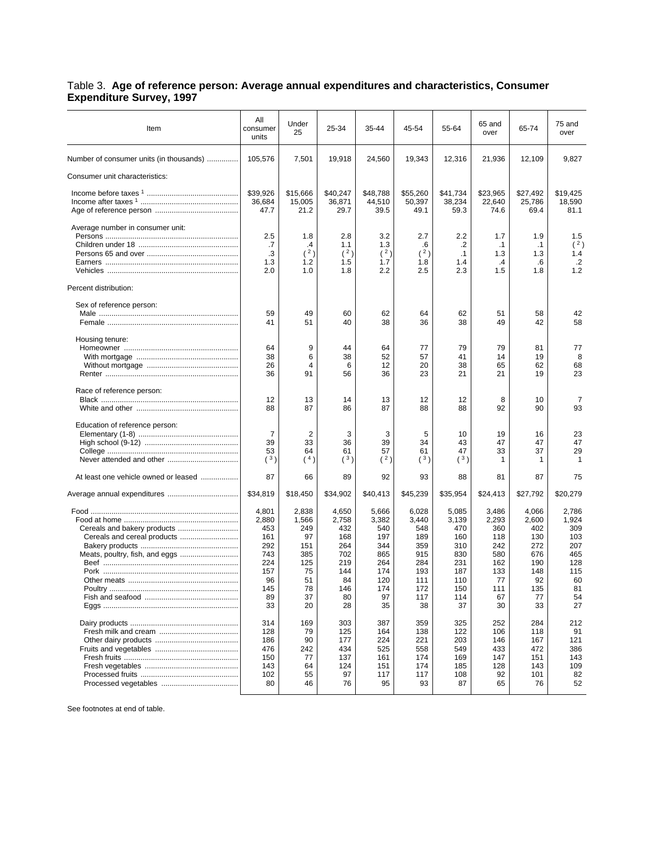## Table 3. **Age of reference person: Average annual expenditures and characteristics, Consumer Expenditure Survey, 1997**

| Item                                    | All<br>consumer<br>units                                                          | Under<br>25                                                                    | 25-34                                                                             | 35-44                                                                              | 45-54                                                                               | 55-64                                                                               | 65 and<br>over                                                                    | 65-74                                                                             | 75 and<br>over                                                                   |
|-----------------------------------------|-----------------------------------------------------------------------------------|--------------------------------------------------------------------------------|-----------------------------------------------------------------------------------|------------------------------------------------------------------------------------|-------------------------------------------------------------------------------------|-------------------------------------------------------------------------------------|-----------------------------------------------------------------------------------|-----------------------------------------------------------------------------------|----------------------------------------------------------------------------------|
| Number of consumer units (in thousands) | 105,576                                                                           | 7,501                                                                          | 19,918                                                                            | 24,560                                                                             | 19,343                                                                              | 12,316                                                                              | 21,936                                                                            | 12,109                                                                            | 9,827                                                                            |
| Consumer unit characteristics:          |                                                                                   |                                                                                |                                                                                   |                                                                                    |                                                                                     |                                                                                     |                                                                                   |                                                                                   |                                                                                  |
|                                         | \$39,926<br>36,684<br>47.7                                                        | \$15,666<br>15,005<br>21.2                                                     | \$40,247<br>36,871<br>29.7                                                        | \$48,788<br>44,510<br>39.5                                                         | \$55,260<br>50,397<br>49.1                                                          | \$41,734<br>38,234<br>59.3                                                          | \$23,965<br>22,640<br>74.6                                                        | \$27,492<br>25,786<br>69.4                                                        | \$19,425<br>18,590<br>81.1                                                       |
| Average number in consumer unit:        | 2.5<br>.7<br>.3<br>1.3<br>2.0                                                     | 1.8<br>.4<br>(2)<br>1.2<br>1.0                                                 | 2.8<br>1.1<br>(2)<br>1.5<br>1.8                                                   | 3.2<br>1.3<br>(2)<br>1.7<br>2.2                                                    | 2.7<br>.6<br>(2)<br>1.8<br>2.5                                                      | 2.2<br>.2<br>.1<br>1.4<br>2.3                                                       | 1.7<br>$\cdot$ 1<br>1.3<br>.4<br>1.5                                              | 1.9<br>$\cdot$ 1<br>1.3<br>.6<br>1.8                                              | 1.5<br>(2)<br>1.4<br>$\cdot$ .2<br>1.2                                           |
| Percent distribution:                   |                                                                                   |                                                                                |                                                                                   |                                                                                    |                                                                                     |                                                                                     |                                                                                   |                                                                                   |                                                                                  |
| Sex of reference person:                | 59<br>41                                                                          | 49<br>51                                                                       | 60<br>40                                                                          | 62<br>38                                                                           | 64<br>36                                                                            | 62<br>38                                                                            | 51<br>49                                                                          | 58<br>42                                                                          | 42<br>58                                                                         |
| Housing tenure:                         | 64<br>38<br>26<br>36                                                              | 9<br>6<br>$\overline{4}$<br>91                                                 | 44<br>38<br>6<br>56                                                               | 64<br>52<br>12<br>36                                                               | 77<br>57<br>20<br>23                                                                | 79<br>41<br>38<br>21                                                                | 79<br>14<br>65<br>21                                                              | 81<br>19<br>62<br>19                                                              | 77<br>8<br>68<br>23                                                              |
| Race of reference person:               | 12<br>88                                                                          | 13<br>87                                                                       | 14<br>86                                                                          | 13<br>87                                                                           | 12<br>88                                                                            | 12<br>88                                                                            | 8<br>92                                                                           | 10<br>90                                                                          | 7<br>93                                                                          |
| Education of reference person:          | $\overline{7}$<br>39<br>53<br>(3)                                                 | 2<br>33<br>64<br>(4)                                                           | 3<br>36<br>61<br>(3)                                                              | 3<br>39<br>57<br>(2)                                                               | 5<br>34<br>61<br>(3)                                                                | 10<br>43<br>47<br>(3)                                                               | 19<br>47<br>33<br>1                                                               | 16<br>47<br>37<br>1                                                               | 23<br>47<br>29<br>$\mathbf 1$                                                    |
| At least one vehicle owned or leased    | 87                                                                                | 66                                                                             | 89                                                                                | 92                                                                                 | 93                                                                                  | 88                                                                                  | 81                                                                                | 87                                                                                | 75                                                                               |
|                                         | \$34,819                                                                          | \$18,450                                                                       | \$34,902                                                                          | \$40,413                                                                           | \$45,239                                                                            | \$35,954                                                                            | \$24,413                                                                          | \$27,792                                                                          | \$20,279                                                                         |
|                                         | 4,801<br>2,880<br>453<br>161<br>292<br>743<br>224<br>157<br>96<br>145<br>89<br>33 | 2,838<br>1,566<br>249<br>97<br>151<br>385<br>125<br>75<br>51<br>78<br>37<br>20 | 4,650<br>2,758<br>432<br>168<br>264<br>702<br>219<br>144<br>84<br>146<br>80<br>28 | 5,666<br>3,382<br>540<br>197<br>344<br>865<br>264<br>174<br>120<br>174<br>97<br>35 | 6,028<br>3,440<br>548<br>189<br>359<br>915<br>284<br>193<br>111<br>172<br>117<br>38 | 5,085<br>3,139<br>470<br>160<br>310<br>830<br>231<br>187<br>110<br>150<br>114<br>37 | 3,486<br>2,293<br>360<br>118<br>242<br>580<br>162<br>133<br>77<br>111<br>67<br>30 | 4,066<br>2,600<br>402<br>130<br>272<br>676<br>190<br>148<br>92<br>135<br>77<br>33 | 2,786<br>1,924<br>309<br>103<br>207<br>465<br>128<br>115<br>60<br>81<br>54<br>27 |
|                                         | 314<br>128<br>186<br>476<br>150<br>143<br>102<br>80                               | 169<br>79<br>90<br>242<br>77<br>64<br>55<br>46                                 | 303<br>125<br>177<br>434<br>137<br>124<br>97<br>76                                | 387<br>164<br>224<br>525<br>161<br>151<br>117<br>95                                | 359<br>138<br>221<br>558<br>174<br>174<br>117<br>93                                 | 325<br>122<br>203<br>549<br>169<br>185<br>108<br>87                                 | 252<br>106<br>146<br>433<br>147<br>128<br>92<br>65                                | 284<br>118<br>167<br>472<br>151<br>143<br>101<br>76                               | 212<br>91<br>121<br>386<br>143<br>109<br>82<br>52                                |

See footnotes at end of table.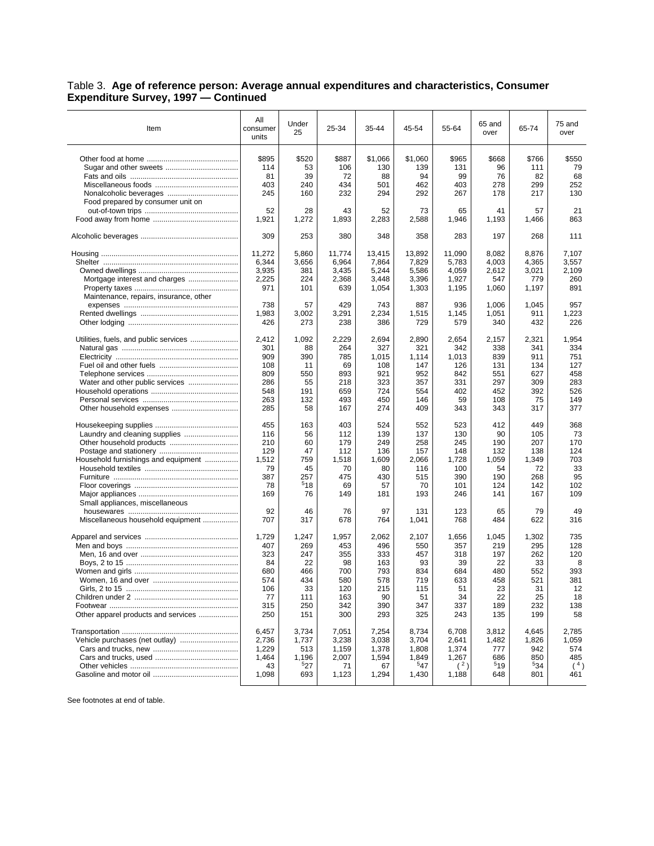## Table 3. **Age of reference person: Average annual expenditures and characteristics, Consumer Expenditure Survey, 1997 — Continued**

| Item                                   | All<br>consumer<br>units | Under<br>25 | 25-34  | 35-44   | 45-54   | 55-64  | 65 and<br>over | 65-74 | 75 and<br>over |
|----------------------------------------|--------------------------|-------------|--------|---------|---------|--------|----------------|-------|----------------|
|                                        | \$895                    | \$520       | \$887  | \$1,066 | \$1,060 | \$965  | \$668          | \$766 | \$550          |
|                                        | 114                      | 53          | 106    | 130     | 139     | 131    | 96             | 111   | 79             |
|                                        | 81                       | 39          | 72     | 88      | 94      | 99     | 76             | 82    | 68             |
|                                        | 403                      | 240         | 434    | 501     | 462     | 403    | 278            | 299   | 252            |
|                                        | 245                      | 160         | 232    | 294     | 292     | 267    | 178            | 217   | 130            |
| Food prepared by consumer unit on      |                          |             |        |         |         |        |                |       |                |
|                                        | 52                       | 28          | 43     | 52      | 73      | 65     | 41             | 57    | 21             |
|                                        | 1,921                    | 1,272       | 1,893  | 2,283   | 2,588   | 1,946  | 1,193          | 1,466 | 863            |
|                                        | 309                      |             | 380    |         |         |        | 197            |       | 111            |
|                                        |                          | 253         |        | 348     | 358     | 283    |                | 268   |                |
|                                        | 11.272                   | 5,860       | 11,774 | 13.415  | 13,892  | 11,090 | 8,082          | 8,876 | 7,107          |
|                                        | 6,344                    | 3,656       | 6,964  | 7,864   | 7,829   | 5,783  | 4,003          | 4,365 | 3.557          |
|                                        | 3,935                    | 381         | 3,435  | 5,244   | 5,586   | 4,059  | 2,612          | 3,021 | 2,109          |
| Mortgage interest and charges          | 2,225                    | 224         | 2,368  | 3,448   | 3,396   | 1,927  | 547            | 779   | 260            |
|                                        | 971                      | 101         | 639    | 1,054   | 1,303   | 1,195  | 1,060          | 1,197 | 891            |
| Maintenance, repairs, insurance, other |                          |             |        |         |         |        |                |       |                |
|                                        | 738                      | 57          | 429    | 743     | 887     | 936    | 1,006          | 1,045 | 957            |
|                                        | 1,983                    | 3,002       | 3,291  | 2,234   | 1,515   | 1,145  | 1,051          | 911   | 1,223          |
|                                        | 426                      | 273         | 238    | 386     | 729     | 579    | 340            | 432   | 226            |
| Utilities, fuels, and public services  | 2,412                    | 1,092       | 2,229  | 2,694   | 2,890   | 2,654  | 2,157          | 2,321 | 1,954          |
|                                        | 301                      | 88          | 264    | 327     | 321     | 342    | 338            | 341   | 334            |
|                                        | 909                      | 390         | 785    | 1,015   | 1,114   | 1,013  | 839            | 911   | 751            |
|                                        | 108                      | 11          | 69     | 108     | 147     | 126    | 131            | 134   | 127            |
|                                        | 809                      | 550         | 893    | 921     | 952     | 842    | 551            | 627   | 458            |
| Water and other public services        | 286                      | 55          | 218    | 323     | 357     | 331    | 297            | 309   | 283            |
|                                        | 548                      | 191         | 659    | 724     | 554     | 402    | 452            | 392   | 526            |
|                                        | 263                      | 132         | 493    | 450     | 146     | 59     | 108            | 75    | 149            |
|                                        | 285                      | 58          | 167    | 274     | 409     | 343    | 343            | 317   | 377            |
|                                        | 455                      | 163         | 403    | 524     | 552     | 523    | 412            | 449   | 368            |
|                                        | 116                      | 56          | 112    | 139     | 137     | 130    | 90             | 105   | 73             |
|                                        | 210                      | 60          | 179    | 249     | 258     | 245    | 190            | 207   | 170            |
|                                        | 129                      | 47          | 112    | 136     | 157     | 148    | 132            | 138   | 124            |
| Household furnishings and equipment    | 1,512                    | 759         | 1,518  | 1,609   | 2,066   | 1,728  | 1,059          | 1,349 | 703            |
|                                        | 79                       | 45          | 70     | 80      | 116     | 100    | 54             | 72    | 33             |
|                                        | 387                      | 257         | 475    | 430     | 515     | 390    | 190            | 268   | 95             |
|                                        | 78                       | 518         | 69     | 57      | 70      | 101    | 124            | 142   | 102            |
|                                        | 169                      | 76          | 149    | 181     | 193     | 246    | 141            | 167   | 109            |
| Small appliances, miscellaneous        |                          |             |        |         |         |        |                |       |                |
|                                        | 92                       | 46          | 76     | 97      | 131     | 123    | 65             | 79    | 49             |
| Miscellaneous household equipment      | 707                      | 317         | 678    | 764     | 1,041   | 768    | 484            | 622   | 316            |
|                                        | 1,729                    | 1,247       | 1,957  | 2,062   | 2,107   | 1,656  | 1,045          | 1,302 | 735            |
|                                        | 407                      | 269         | 453    | 496     | 550     | 357    | 219            | 295   | 128            |
|                                        | 323                      | 247         | 355    | 333     | 457     | 318    | 197            | 262   | 120            |
|                                        | 84                       | 22          | 98     | 163     | 93      | 39     | 22             | 33    | 8              |
|                                        | 680                      | 466         | 700    | 793     | 834     | 684    | 480            | 552   | 393            |
|                                        | 574                      | 434         | 580    | 578     | 719     | 633    | 458            | 521   | 381            |
|                                        | 106                      | 33          | 120    | 215     | 115     | 51     | 23             | 31    | 12             |
|                                        | 77                       | 111         | 163    | 90      | 51      | 34     | 22             | 25    | 18             |
|                                        | 315                      | 250         | 342    | 390     | 347     | 337    | 189            | 232   | 138            |
| Other apparel products and services    | 250                      | 151         | 300    | 293     | 325     | 243    | 135            | 199   | 58             |
|                                        | 6,457                    | 3,734       | 7,051  | 7,254   | 8,734   | 6,708  | 3,812          | 4,645 | 2,785          |
| Vehicle purchases (net outlay)         | 2,736                    | 1,737       | 3,238  | 3,038   | 3,704   | 2,641  | 1,482          | 1,826 | 1,059          |
|                                        | 1,229                    | 513         | 1,159  | 1,378   | 1,808   | 1,374  | 777            | 942   | 574            |
|                                        | 1,464                    | 1,196       | 2,007  | 1,594   | 1,849   | 1,267  | 686            | 850   | 485            |
|                                        | 43                       | 527         | 71     | 67      | 547     | (2)    | 519            | 534   | (4)            |
|                                        | 1,098                    | 693         | 1,123  | 1,294   | 1,430   | 1,188  | 648            | 801   | 461            |
|                                        |                          |             |        |         |         |        |                |       |                |

See footnotes at end of table.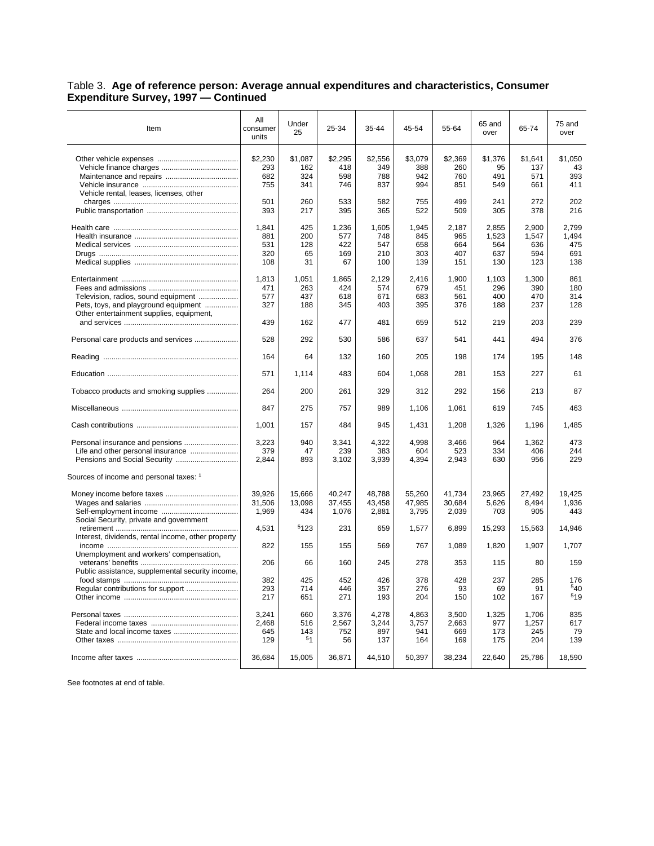## Table 3. **Age of reference person: Average annual expenditures and characteristics, Consumer Expenditure Survey, 1997 — Continued**

| Item                                                                                                                    | All<br>consumer<br>units          | Under<br>25                         | 25-34                             | 35-44                             | 45-54                             | 55-64                             | 65 and<br>over                      | 65-74                               | 75 and<br>over                      |
|-------------------------------------------------------------------------------------------------------------------------|-----------------------------------|-------------------------------------|-----------------------------------|-----------------------------------|-----------------------------------|-----------------------------------|-------------------------------------|-------------------------------------|-------------------------------------|
| Vehicle rental, leases, licenses, other                                                                                 | \$2,230<br>293<br>682<br>755      | \$1,087<br>162<br>324<br>341        | \$2,295<br>418<br>598<br>746      | \$2,556<br>349<br>788<br>837      | \$3,079<br>388<br>942<br>994      | \$2,369<br>260<br>760<br>851      | \$1,376<br>95<br>491<br>549         | \$1,641<br>137<br>571<br>661        | \$1,050<br>43<br>393<br>411         |
|                                                                                                                         | 501<br>393                        | 260<br>217                          | 533<br>395                        | 582<br>365                        | 755<br>522                        | 499<br>509                        | 241<br>305                          | 272<br>378                          | 202<br>216                          |
|                                                                                                                         | 1.841<br>881<br>531<br>320<br>108 | 425<br>200<br>128<br>65<br>31       | 1,236<br>577<br>422<br>169<br>67  | 1,605<br>748<br>547<br>210<br>100 | 1.945<br>845<br>658<br>303<br>139 | 2,187<br>965<br>664<br>407<br>151 | 2,855<br>1,523<br>564<br>637<br>130 | 2.900<br>1,547<br>636<br>594<br>123 | 2.799<br>1,494<br>475<br>691<br>138 |
| Television, radios, sound equipment<br>Pets, toys, and playground equipment<br>Other entertainment supplies, equipment, | 1,813<br>471<br>577<br>327<br>439 | 1,051<br>263<br>437<br>188<br>162   | 1,865<br>424<br>618<br>345<br>477 | 2,129<br>574<br>671<br>403<br>481 | 2,416<br>679<br>683<br>395<br>659 | 1,900<br>451<br>561<br>376<br>512 | 1,103<br>296<br>400<br>188<br>219   | 1,300<br>390<br>470<br>237<br>203   | 861<br>180<br>314<br>128<br>239     |
| Personal care products and services                                                                                     | 528                               | 292                                 | 530                               | 586                               | 637                               | 541                               | 441                                 | 494                                 | 376                                 |
|                                                                                                                         | 164                               | 64                                  | 132                               | 160                               | 205                               | 198                               | 174                                 | 195                                 | 148                                 |
|                                                                                                                         | 571                               | 1.114                               | 483                               | 604                               | 1,068                             | 281                               | 153                                 | 227                                 | 61                                  |
| Tobacco products and smoking supplies                                                                                   | 264                               | 200                                 | 261                               | 329                               | 312                               | 292                               | 156                                 | 213                                 | 87                                  |
|                                                                                                                         | 847                               | 275                                 | 757                               | 989                               | 1,106                             | 1,061                             | 619                                 | 745                                 | 463                                 |
|                                                                                                                         | 1,001                             | 157                                 | 484                               | 945                               | 1,431                             | 1,208                             | 1,326                               | 1,196                               | 1,485                               |
| Life and other personal insurance<br>Sources of income and personal taxes: 1                                            | 3,223<br>379<br>2,844             | 940<br>47<br>893                    | 3,341<br>239<br>3,102             | 4,322<br>383<br>3,939             | 4,998<br>604<br>4,394             | 3,466<br>523<br>2,943             | 964<br>334<br>630                   | 1,362<br>406<br>956                 | 473<br>244<br>229                   |
| Social Security, private and government                                                                                 | 39,926<br>31,506<br>1,969         | 15,666<br>13.098<br>434<br>5123     | 40,247<br>37.455<br>1,076         | 48,788<br>43.458<br>2,881         | 55,260<br>47,985<br>3,795         | 41,734<br>30,684<br>2,039         | 23,965<br>5,626<br>703              | 27,492<br>8,494<br>905              | 19.425<br>1.936<br>443              |
| Interest, dividends, rental income, other property                                                                      | 4,531                             |                                     | 231                               | 659                               | 1,577                             | 6,899                             | 15,293                              | 15,563                              | 14,946                              |
| Unemployment and workers' compensation,                                                                                 | 822<br>206                        | 155<br>66                           | 155<br>160                        | 569<br>245                        | 767<br>278                        | 1,089<br>353                      | 1,820<br>115                        | 1,907<br>80                         | 1,707<br>159                        |
| Public assistance, supplemental security income,                                                                        | 382<br>293<br>217                 | 425<br>714<br>651                   | 452<br>446<br>271                 | 426<br>357<br>193                 | 378<br>276<br>204                 | 428<br>93<br>150                  | 237<br>69<br>102                    | 285<br>91<br>167                    | 176<br>540<br>519                   |
|                                                                                                                         | 3,241<br>2.468<br>645<br>129      | 660<br>516<br>143<br>5 <sub>1</sub> | 3,376<br>2,567<br>752<br>56       | 4,278<br>3,244<br>897<br>137      | 4,863<br>3,757<br>941<br>164      | 3,500<br>2,663<br>669<br>169      | 1,325<br>977<br>173<br>175          | 1,706<br>1,257<br>245<br>204        | 835<br>617<br>79<br>139             |
|                                                                                                                         | 36,684                            | 15,005                              | 36,871                            | 44,510                            | 50,397                            | 38,234                            | 22,640                              | 25,786                              | 18,590                              |

See footnotes at end of table.